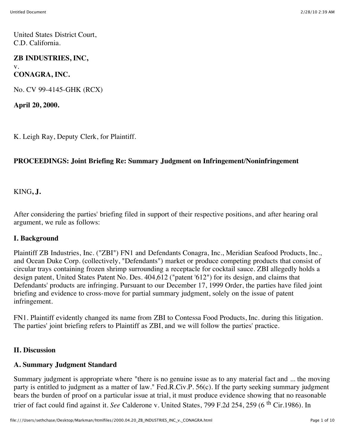United States District Court, C.D. California.

### **ZB INDUSTRIES, INC,** v. **CONAGRA, INC.**

No. CV 99-4145-GHK (RCX)

**April 20, 2000.**

K. Leigh Ray, Deputy Clerk, for Plaintiff.

## **PROCEEDINGS: Joint Briefing Re: Summary Judgment on Infringement/Noninfringement**

KING**, J.**

After considering the parties' briefing filed in support of their respective positions, and after hearing oral argument, we rule as follows:

### **I. Background**

Plaintiff ZB Industries, Inc. ("ZBI") FN1 and Defendants Conagra, Inc., Meridian Seafood Products, Inc., and Ocean Duke Corp. (collectively, "Defendants") market or produce competing products that consist of circular trays containing frozen shrimp surrounding a receptacle for cocktail sauce. ZBI allegedly holds a design patent, United States Patent No. Des. 404,612 ("patent '612") for its design, and claims that Defendants' products are infringing. Pursuant to our December 17, 1999 Order, the parties have filed joint briefing and evidence to cross-move for partial summary judgment, solely on the issue of patent infringement.

FN1. Plaintiff evidently changed its name from ZBI to Contessa Food Products, Inc. during this litigation. The parties' joint briefing refers to Plaintiff as ZBI, and we will follow the parties' practice.

### **II. Discussion**

### **A. Summary Judgment Standard**

Summary judgment is appropriate where "there is no genuine issue as to any material fact and ... the moving party is entitled to judgment as a matter of law." Fed.R.Civ.P. 56(c). If the party seeking summary judgment bears the burden of proof on a particular issue at trial, it must produce evidence showing that no reasonable trier of fact could find against it. See Calderone v. United States, 799 F.2d 254, 259 (6<sup>th</sup> Cir.1986). In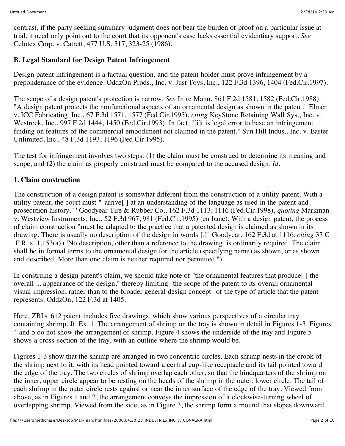contrast, if the party seeking summary judgment does not bear the burden of proof on a particular issue at trial, it need only point out to the court that its opponent's case lacks essential evidentiary support. *See* Celotex Corp. v. Catrett, 477 U.S. 317, 323-25 (1986).

# **B. Legal Standard for Design Patent Infringement**

Design patent infringement is a factual question, and the patent holder must prove infringement by a preponderance of the evidence. OddzOn Prods., Inc. v. Just Toys, Inc., 122 F.3d 1396, 1404 (Fed.Cir.1997).

The scope of a design patent's protection is narrow. *See* In re Mann, 861 F.2d 1581, 1582 (Fed.Cir.1988). "A design patent protects the nonfunctional aspects of an ornamental design as shown in the patent." Elmer v. ICC Fabricating, Inc., 67 F.3d 1571, 1577 (Fed.Cir.1995), *citing* KeyStone Retaining Wall Sys., Inc. v. Westrock, Inc., 997 F.2d 1444, 1450 (Fed.Cir.1993). In fact, "[i]t is legal error to base an infringement finding on features of the commercial embodiment not claimed in the patent." Sun Hill Indus., Inc. v. Easter Unlimited, Inc., 48 F.3d 1193, 1196 (Fed.Cir.1995).

The test for infringement involves two steps: (1) the claim must be construed to determine its meaning and scope; and (2) the claim as properly construed must be compared to the accused design. *Id.*

## **1. Claim construction**

The construction of a design patent is somewhat different from the construction of a utility patent. With a utility patent, the court must " 'arrive[ ] at an understanding of the language as used in the patent and prosecution history." ' Goodyear Tire & Rubber Co., 162 F.3d 1113, 1116 (Fed.Cir.1998), *quoting* Markman v. Westview Instruments, Inc., 52 F.3d 967, 981 (Fed.Cir.1995) (en banc). With a design patent, the process of claim construction "must be adapted to the practice that a patented design is claimed as shown in its drawing. There is usually no description of the design in words [.]" Goodyear, 162 F.3d at 1116, *citing* 37 C .F.R. s. 1.153(a) ("No description, other than a reference to the drawing, is ordinarily required. The claim shall be in formal terms to the ornamental design for the article (specifying name) as shown, or as shown and described. More than one claim is neither required nor permitted.").

In construing a design patent's claim, we should take note of "the ornamental features that produce [] the overall ... appearance of the design," thereby limiting "the scope of the patent to its overall ornamental visual impression, rather than to the broader general design concept" of the type of article that the patent represents. OddzOn, 122 F.3d at 1405.

Here, ZBI's '612 patent includes five drawings, which show various perspectives of a circular tray containing shrimp. Jt. Ex. 1. The arrangement of shrimp on the tray is shown in detail in Figures 1-3. Figures 4 and 5 do not show the arrangement of shrimp. Figure 4 shows the underside of the tray and Figure 5 shows a cross-section of the tray, with an outline where the shrimp would be.

Figures 1-3 show that the shrimp are arranged in two concentric circles. Each shrimp nests in the crook of the shrimp next to it, with its head pointed toward a central cup-like receptacle and its tail pointed toward the edge of the tray. The two circles of shrimp overlap each other, so that the hindquarters of the shrimp on the inner, upper circle appear to be resting on the heads of the shrimp in the outer, lower circle. The tail of each shrimp in the outer circle rests against or near the inner surface of the edge of the tray. Viewed from above, as in Figures 1 and 2, the arrangement conveys the impression of a clockwise-turning wheel of overlapping shrimp. Viewed from the side, as in Figure 3, the shrimp form a mound that slopes downward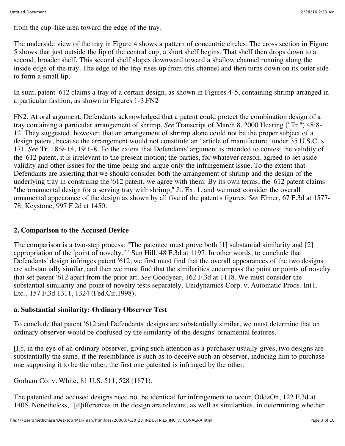from the cup-like area toward the edge of the tray.

The underside view of the tray in Figure 4 shows a pattern of concentric circles. The cross section in Figure 5 shows that just outside the lip of the central cup, a short shelf begins. That shelf then drops down to a second, broader shelf. This second shelf slopes downward toward a shallow channel running along the inside edge of the tray. The edge of the tray rises up from this channel and then turns down on its outer side to form a small lip.

In sum, patent '612 claims a tray of a certain design, as shown in Figures 4-5, containing shrimp arranged in a particular fashion, as shown in Figures 1-3.FN2

FN2. At oral argument, Defendants acknowledged that a patent could protect the combination design of a tray containing a particular arrangement of shrimp. *See* Transcript of March 8, 2000 Hearing ("Tr.") 48:8- 12. They suggested, however, that an arrangement of shrimp alone could not be the proper subject of a design patent, because the arrangement would not constitute an "article of manufacture" under 35 U.S.C. s. 171. *See* Tr. 18:9-14, 19:1-8. To the extent that Defendants' argument is intended to contest the validity of the '612 patent, it is irrelevant to the present motion; the parties, for whatever reason, agreed to set aside validity and other issues for the time being and argue only the infringement issue. To the extent that Defendants are asserting that we should consider both the arrangement of shrimp and the design of the underlying tray in construing the '612 patent, we agree with them: By its own terms, the '612 patent claims "the ornamental design for a serving tray with shrimp," Jt. Ex. 1, and we must consider the overall ornamental appearance of the design as shown by all five of the patent's figures. *See* Elmer, 67 F.3d at 1577- 78; Keystone, 997 F.2d at 1450.

# **2. Comparison to the Accused Device**

The comparison is a two-step process: "The patentee must prove both [1] substantial similarity and [2] appropriation of the 'point of novelty." ' Sun Hill, 48 F.3d at 1197. In other words, to conclude that Defendants' design infringes patent '612, we first must find that the overall appearances of the two designs are substantially similar, and then we must find that the similarities encompass the point or points of novelty that set patent '612 apart from the prior art. *See* Goodyear, 162 F.3d at 1118. We must consider the substantial similarity and point of novelty tests separately. Unidynamics Corp. v. Automatic Prods. Int'l, Ltd., 157 F.3d 1311, 1324 (Fed.Cir.1998).

### **a. Substantial similarity: Ordinary Observer Test**

To conclude that patent '612 and Defendants' designs are substantially similar, we must determine that an ordinary observer would be confused by the similarity of the designs' ornamental features.

[I]f, in the eye of an ordinary observer, giving such attention as a purchaser usually gives, two designs are substantially the same, if the resemblance is such as to deceive such an observer, inducing him to purchase one supposing it to be the other, the first one patented is infringed by the other.

Gorham Co. v. White, 81 U.S. 511, 528 (1871).

The patented and accused designs need not be identical for infringement to occur, OddzOn, 122 F.3d at 1405. Nonetheless, "[d]ifferences in the design are relevant, as well as similarities, in determining whether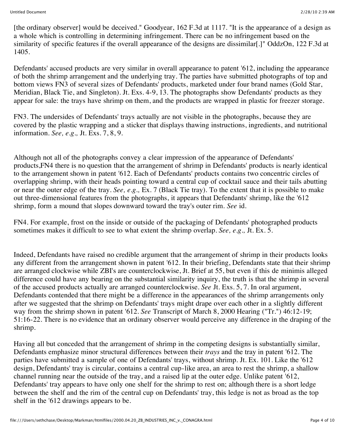[the ordinary observer] would be deceived." Goodyear, 162 F.3d at 1117. "It is the appearance of a design as a whole which is controlling in determining infringement. There can be no infringement based on the similarity of specific features if the overall appearance of the designs are dissimilar[.]" OddzOn, 122 F.3d at 1405.

Defendants' accused products are very similar in overall appearance to patent '612, including the appearance of both the shrimp arrangement and the underlying tray. The parties have submitted photographs of top and bottom views FN3 of several sizes of Defendants' products, marketed under four brand names (Gold Star, Meridian, Black Tie, and Singleton). Jt. Exs. 4-9, 13. The photographs show Defendants' products as they appear for sale: the trays have shrimp on them, and the products are wrapped in plastic for freezer storage.

FN3. The undersides of Defendants' trays actually are not visible in the photographs, because they are covered by the plastic wrapping and a sticker that displays thawing instructions, ingredients, and nutritional information. *See, e.g.,* Jt. Exs. 7, 8, 9.

Although not all of the photographs convey a clear impression of the appearance of Defendants' products,FN4 there is no question that the arrangement of shrimp in Defendants' products is nearly identical to the arrangement shown in patent '612. Each of Defendants' products contains two concentric circles of overlapping shrimp, with their heads pointing toward a central cup of cocktail sauce and their tails abutting or near the outer edge of the tray. *See, e.g.,* Ex. 7 (Black Tie tray). To the extent that it is possible to make out three-dimensional features from the photographs, it appears that Defendants' shrimp, like the '612 shrimp, form a mound that slopes downward toward the tray's outer rim. *See* id.

FN4. For example, frost on the inside or outside of the packaging of Defendants' photographed products sometimes makes it difficult to see to what extent the shrimp overlap. *See, e.g.,* Jt. Ex. 5.

Indeed, Defendants have raised no credible argument that the arrangement of shrimp in their products looks any different from the arrangement shown in patent '612. In their briefing, Defendants state that their shrimp are arranged clockwise while ZBI's are counterclockwise, Jt. Brief at 55, but even if this de minimis alleged difference could have any bearing on the substantial similarity inquiry, the truth is that the shrimp in several of the accused products actually are arranged counterclockwise. *See* Jt. Exs. 5, 7. In oral argument, Defendants contended that there might be a difference in the appearances of the shrimp arrangements only after we suggested that the shrimp on Defendants' trays might drape over each other in a slightly different way from the shrimp shown in patent '612. *See* Transcript of March 8, 2000 Hearing ("Tr.") 46:12-19; 51:16-22. There is no evidence that an ordinary observer would perceive any difference in the draping of the shrimp.

Having all but conceded that the arrangement of shrimp in the competing designs is substantially similar, Defendants emphasize minor structural differences between their *trays* and the tray in patent '612. The parties have submitted a sample of one of Defendants' trays, without shrimp. Jt. Ex. 101. Like the '612 design, Defendants' tray is circular, contains a central cup-like area, an area to rest the shrimp, a shallow channel running near the outside of the tray, and a raised lip at the outer edge. Unlike patent '612, Defendants' tray appears to have only one shelf for the shrimp to rest on; although there is a short ledge between the shelf and the rim of the central cup on Defendants' tray, this ledge is not as broad as the top shelf in the '612 drawings appears to be.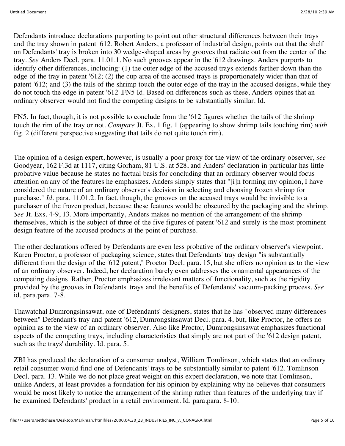Defendants introduce declarations purporting to point out other structural differences between their trays and the tray shown in patent '612. Robert Anders, a professor of industrial design, points out that the shelf on Defendants' tray is broken into 30 wedge-shaped areas by grooves that radiate out from the center of the tray. *See* Anders Decl. para. 11.01.1. No such grooves appear in the '612 drawings. Anders purports to identify other differences, including: (1) the outer edge of the accused trays extends farther down than the edge of the tray in patent '612; (2) the cup area of the accused trays is proportionately wider than that of patent '612; and (3) the tails of the shrimp touch the outer edge of the tray in the accused designs, while they do not touch the edge in patent '612 .FN5 Id. Based on differences such as these, Anders opines that an ordinary observer would not find the competing designs to be substantially similar. Id.

FN5. In fact, though, it is not possible to conclude from the '612 figures whether the tails of the shrimp touch the rim of the tray or not. *Compare* Jt. Ex. 1 fig. 1 (appearing to show shrimp tails touching rim) *with* fig. 2 (different perspective suggesting that tails do not quite touch rim).

The opinion of a design expert, however, is usually a poor proxy for the view of the ordinary observer, *see* Goodyear, 162 F.3d at 1117, citing Gorham, 81 U.S. at 528, and Anders' declaration in particular has little probative value because he states no factual basis for concluding that an ordinary observer would focus attention on any of the features he emphasizes. Anders simply states that "[i]n forming my opinion, I have considered the nature of an ordinary observer's decision in selecting and choosing frozen shrimp for purchase." *Id.* para. 11.01.2. In fact, though, the grooves on the accused trays would be invisible to a purchaser of the frozen product, because these features would be obscured by the packaging and the shrimp. *See* Jt. Exs. 4-9, 13. More importantly, Anders makes no mention of the arrangement of the shrimp themselves, which is the subject of three of the five figures of patent '612 and surely is the most prominent design feature of the accused products at the point of purchase.

The other declarations offered by Defendants are even less probative of the ordinary observer's viewpoint. Karen Proctor, a professor of packaging science, states that Defendants' tray design "is substantially different from the design of the '612 patent," Proctor Decl. para. 15, but she offers no opinion as to the view of an ordinary observer. Indeed, her declaration barely even addresses the ornamental appearances of the competing designs. Rather, Proctor emphasizes irrelevant matters of functionality, such as the rigidity provided by the grooves in Defendants' trays and the benefits of Defendants' vacuum-packing process. *See* id. para.para. 7-8.

Thawatchal Dumrongsinsawat, one of Defendants' designers, states that he has "observed many differences between" Defendant's tray and patent '612, Dumrongsinsawat Decl. para. 4, but, like Proctor, he offers no opinion as to the view of an ordinary observer. Also like Proctor, Dumrongsinsawat emphasizes functional aspects of the competing trays, including characteristics that simply are not part of the '612 design patent, such as the trays' durability. Id. para. 5.

ZBI has produced the declaration of a consumer analyst, William Tomlinson, which states that an ordinary retail consumer would find one of Defendants' trays to be substantially similar to patent '612. Tomlinson Decl. para. 13. While we do not place great weight on this expert declaration, we note that Tomlinson, unlike Anders, at least provides a foundation for his opinion by explaining why he believes that consumers would be most likely to notice the arrangement of the shrimp rather than features of the underlying tray if he examined Defendants' product in a retail environment. Id. para.para. 8-10.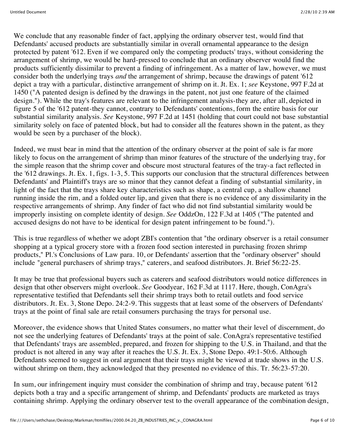We conclude that any reasonable finder of fact, applying the ordinary observer test, would find that Defendants' accused products are substantially similar in overall ornamental appearance to the design protected by patent '612. Even if we compared only the competing products' trays, without considering the arrangement of shrimp, we would be hard-pressed to conclude that an ordinary observer would find the products sufficiently dissimilar to prevent a finding of infringement. As a matter of law, however, we must consider both the underlying trays *and* the arrangement of shrimp, because the drawings of patent '612 depict a tray with a particular, distinctive arrangement of shrimp on it. Jt. Ex. 1; *see* Keystone, 997 F.2d at 1450 ("A patented design is defined by the drawings in the patent, not just one feature of the claimed design."). While the tray's features are relevant to the infringement analysis-they are, after all, depicted in figure 5 of the '612 patent-they cannot, contrary to Defendants' contentions, form the entire basis for our substantial similarity analysis. *See* Keystone, 997 F.2d at 1451 (holding that court could not base substantial similarity solely on face of patented block, but had to consider all the features shown in the patent, as they would be seen by a purchaser of the block).

Indeed, we must bear in mind that the attention of the ordinary observer at the point of sale is far more likely to focus on the arrangement of shrimp than minor features of the structure of the underlying tray, for the simple reason that the shrimp cover and obscure most structural features of the tray-a fact reflected in the '612 drawings. Jt. Ex. 1, figs. 1-3, 5. This supports our conclusion that the structural differences between Defendants' and Plaintiff's trays are so minor that they cannot defeat a finding of substantial similarity, in light of the fact that the trays share key characteristics such as shape, a central cup, a shallow channel running inside the rim, and a folded outer lip, and given that there is no evidence of any dissimilarity in the respective arrangements of shrimp. Any finder of fact who did not find substantial similarity would be improperly insisting on complete identity of design. *See* OddzOn, 122 F.3d at 1405 ("The patented and accused designs do not have to be identical for design patent infringement to be found.").

This is true regardless of whether we adopt ZBI's contention that "the ordinary observer is a retail consumer shopping at a typical grocery store with a frozen food section interested in purchasing frozen shrimp products," Pl.'s Conclusions of Law para. 10, or Defendants' assertion that the "ordinary observer" should include "general purchasers of shrimp trays," caterers, and seafood distributors. Jt. Brief 56:22-25.

It may be true that professional buyers such as caterers and seafood distributors would notice differences in design that other observers might overlook. *See* Goodyear, 162 F.3d at 1117. Here, though, ConAgra's representative testified that Defendants sell their shrimp trays both to retail outlets and food service distributors. Jt. Ex. 3, Stone Depo. 24:2-9. This suggests that at least some of the observers of Defendants' trays at the point of final sale are retail consumers purchasing the trays for personal use.

Moreover, the evidence shows that United States consumers, no matter what their level of discernment, do not see the underlying features of Defendants' trays at the point of sale. ConAgra's representative testified that Defendants' trays are assembled, prepared, and frozen for shipping to the U.S. in Thailand, and that the product is not altered in any way after it reaches the U.S. Jt. Ex. 3, Stone Depo. 49:1-50:6. Although Defendants seemed to suggest in oral argument that their trays might be viewed at trade shows in the U.S. without shrimp on them, they acknowledged that they presented no evidence of this. Tr. 56:23-57:20.

In sum, our infringement inquiry must consider the combination of shrimp and tray, because patent '612 depicts both a tray and a specific arrangement of shrimp, and Defendants' products are marketed as trays containing shrimp. Applying the ordinary observer test to the overall appearance of the combination design,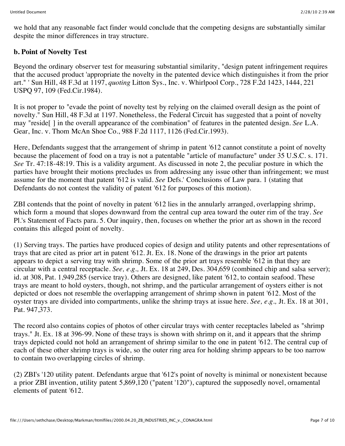we hold that any reasonable fact finder would conclude that the competing designs are substantially similar despite the minor differences in tray structure.

# **b. Point of Novelty Test**

Beyond the ordinary observer test for measuring substantial similarity, "design patent infringement requires that the accused product 'appropriate the novelty in the patented device which distinguishes it from the prior art." ' Sun Hill, 48 F.3d at 1197, *quoting* Litton Sys., Inc. v. Whirlpool Corp., 728 F.2d 1423, 1444, 221 USPQ 97, 109 (Fed.Cir.1984).

It is not proper to "evade the point of novelty test by relying on the claimed overall design as the point of novelty." Sun Hill, 48 F.3d at 1197. Nonetheless, the Federal Circuit has suggested that a point of novelty may "reside[ ] in the overall appearance of the combination" of features in the patented design. *See* L.A. Gear, Inc. v. Thom McAn Shoe Co., 988 F.2d 1117, 1126 (Fed.Cir.1993).

Here, Defendants suggest that the arrangement of shrimp in patent '612 cannot constitute a point of novelty because the placement of food on a tray is not a patentable "article of manufacture" under 35 U.S.C. s. 171. *See* Tr. 47:18-48:19. This is a validity argument. As discussed in note 2, the peculiar posture in which the parties have brought their motions precludes us from addressing any issue other than infringement; we must assume for the moment that patent '612 is valid. *See* Defs.' Conclusions of Law para. 1 (stating that Defendants do not contest the validity of patent '612 for purposes of this motion).

ZBI contends that the point of novelty in patent '612 lies in the annularly arranged, overlapping shrimp, which form a mound that slopes downward from the central cup area toward the outer rim of the tray. *See* Pl.'s Statement of Facts para. 5. Our inquiry, then, focuses on whether the prior art as shown in the record contains this alleged point of novelty.

(1) Serving trays. The parties have produced copies of design and utility patents and other representations of trays that are cited as prior art in patent '612. Jt. Ex. 18. None of the drawings in the prior art patents appears to depict a serving tray with shrimp. Some of the prior art trays resemble '612 in that they are circular with a central receptacle. *See, e.g.,* Jt. Ex. 18 at 249, Des. 304,659 (combined chip and salsa server); id. at 308, Pat. 1,949,285 (service tray). Others are designed, like patent '612, to contain seafood. These trays are meant to hold oysters, though, not shrimp, and the particular arrangement of oysters either is not depicted or does not resemble the overlapping arrangement of shrimp shown in patent '612. Most of the oyster trays are divided into compartments, unlike the shrimp trays at issue here. *See, e.g.,* Jt. Ex. 18 at 301, Pat. 947,373.

The record also contains copies of photos of other circular trays with center receptacles labeled as "shrimp trays." Jt. Ex. 18 at 396-99. None of these trays is shown with shrimp on it, and it appears that the shrimp trays depicted could not hold an arrangement of shrimp similar to the one in patent '612. The central cup of each of these other shrimp trays is wide, so the outer ring area for holding shrimp appears to be too narrow to contain two overlapping circles of shrimp.

(2) ZBI's '120 utility patent. Defendants argue that '612's point of novelty is minimal or nonexistent because a prior ZBI invention, utility patent 5,869,120 ("patent '120"), captured the supposedly novel, ornamental elements of patent '612.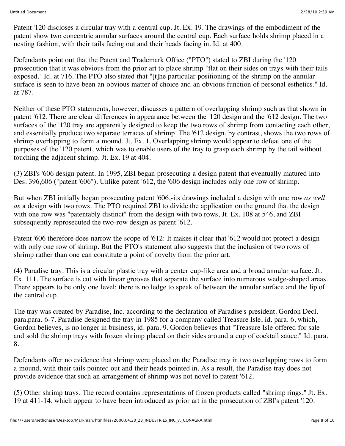Patent '120 discloses a circular tray with a central cup. Jt. Ex. 19. The drawings of the embodiment of the patent show two concentric annular surfaces around the central cup. Each surface holds shrimp placed in a nesting fashion, with their tails facing out and their heads facing in. Id. at 400.

Defendants point out that the Patent and Trademark Office ("PTO") stated to ZBI during the '120 prosecution that it was obvious from the prior art to place shrimp "flat on their sides on trays with their tails exposed." Id. at 716. The PTO also stated that "[t]he particular positioning of the shrimp on the annular surface is seen to have been an obvious matter of choice and an obvious function of personal esthetics." Id. at 787.

Neither of these PTO statements, however, discusses a pattern of overlapping shrimp such as that shown in patent '612. There are clear differences in appearance between the '120 design and the '612 design. The two surfaces of the '120 tray are apparently designed to keep the two rows of shrimp from contacting each other, and essentially produce two separate terraces of shrimp. The '612 design, by contrast, shows the two rows of shrimp overlapping to form a mound. Jt. Ex. 1. Overlapping shrimp would appear to defeat one of the purposes of the '120 patent, which was to enable users of the tray to grasp each shrimp by the tail without touching the adjacent shrimp. Jt. Ex. 19 at 404.

(3) ZBI's '606 design patent. In 1995, ZBI began prosecuting a design patent that eventually matured into Des. 396,606 ("patent '606"). Unlike patent '612, the '606 design includes only one row of shrimp.

But when ZBI initially began prosecuting patent '606,-its drawings included a design with one row *as well as* a design with two rows. The PTO required ZBI to divide the application on the ground that the design with one row was "patentably distinct" from the design with two rows, Jt. Ex. 108 at 546, and ZBI subsequently reprosecuted the two-row design as patent '612.

Patent '606 therefore does narrow the scope of '612: It makes it clear that '612 would not protect a design with only one row of shrimp. But the PTO's statement also suggests that the inclusion of two rows of shrimp rather than one can constitute a point of novelty from the prior art.

(4) Paradise tray. This is a circular plastic tray with a center cup-like area and a broad annular surface. Jt. Ex. 111. The surface is cut with linear grooves that separate the surface into numerous wedge-shaped areas. There appears to be only one level; there is no ledge to speak of between the annular surface and the lip of the central cup.

The tray was created by Paradise, Inc. according to the declaration of Paradise's president. Gordon Decl. para.para. 6-7. Paradise designed the tray in 1985 for a company called Treasure Isle, id. para. 6, which, Gordon believes, is no longer in business, id. para. 9. Gordon believes that "Treasure Isle offered for sale and sold the shrimp trays with frozen shrimp placed on their sides around a cup of cocktail sauce." Id. para. 8.

Defendants offer no evidence that shrimp were placed on the Paradise tray in two overlapping rows to form a mound, with their tails pointed out and their heads pointed in. As a result, the Paradise tray does not provide evidence that such an arrangement of shrimp was not novel to patent '612.

(5) Other shrimp trays. The record contains representations of frozen products called "shrimp rings," Jt. Ex. 19 at 411-14, which appear to have been introduced as prior art in the prosecution of ZBI's patent '120.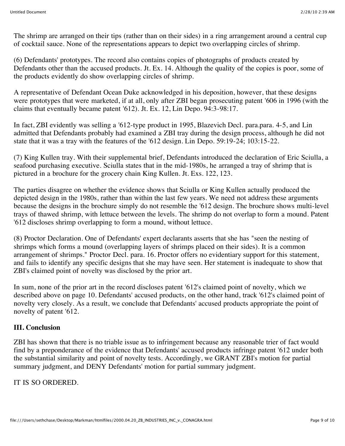The shrimp are arranged on their tips (rather than on their sides) in a ring arrangement around a central cup of cocktail sauce. None of the representations appears to depict two overlapping circles of shrimp.

(6) Defendants' prototypes. The record also contains copies of photographs of products created by Defendants other than the accused products. Jt. Ex. 14. Although the quality of the copies is poor, some of the products evidently do show overlapping circles of shrimp.

A representative of Defendant Ocean Duke acknowledged in his deposition, however, that these designs were prototypes that were marketed, if at all, only after ZBI began prosecuting patent '606 in 1996 (with the claims that eventually became patent '612). Jt. Ex. 12, Lin Depo. 94:3-98:17.

In fact, ZBI evidently was selling a '612-type product in 1995, Blazevich Decl. para.para. 4-5, and Lin admitted that Defendants probably had examined a ZBI tray during the design process, although he did not state that it was a tray with the features of the '612 design. Lin Depo. 59:19-24; 103:15-22.

(7) King Kullen tray. With their supplemental brief, Defendants introduced the declaration of Eric Sciulla, a seafood purchasing executive. Sciulla states that in the mid-1980s, he arranged a tray of shrimp that is pictured in a brochure for the grocery chain King Kullen. Jt. Exs. 122, 123.

The parties disagree on whether the evidence shows that Sciulla or King Kullen actually produced the depicted design in the 1980s, rather than within the last few years. We need not address these arguments because the designs in the brochure simply do not resemble the '612 design. The brochure shows multi-level trays of thawed shrimp, with lettuce between the levels. The shrimp do not overlap to form a mound. Patent '612 discloses shrimp overlapping to form a mound, without lettuce.

(8) Proctor Declaration. One of Defendants' expert declarants asserts that she has "seen the nesting of shrimps which forms a mound (overlapping layers of shrimps placed on their sides). It is a common arrangement of shrimps." Proctor Decl. para. 16. Proctor offers no evidentiary support for this statement, and fails to identify any specific designs that she may have seen. Her statement is inadequate to show that ZBI's claimed point of novelty was disclosed by the prior art.

In sum, none of the prior art in the record discloses patent '612's claimed point of novelty, which we described above on page 10. Defendants' accused products, on the other hand, track '612's claimed point of novelty very closely. As a result, we conclude that Defendants' accused products appropriate the point of novelty of patent '612.

# **III. Conclusion**

ZBI has shown that there is no triable issue as to infringement because any reasonable trier of fact would find by a preponderance of the evidence that Defendants' accused products infringe patent '612 under both the substantial similarity and point of novelty tests. Accordingly, we GRANT ZBI's motion for partial summary judgment, and DENY Defendants' motion for partial summary judgment.

IT IS SO ORDERED.